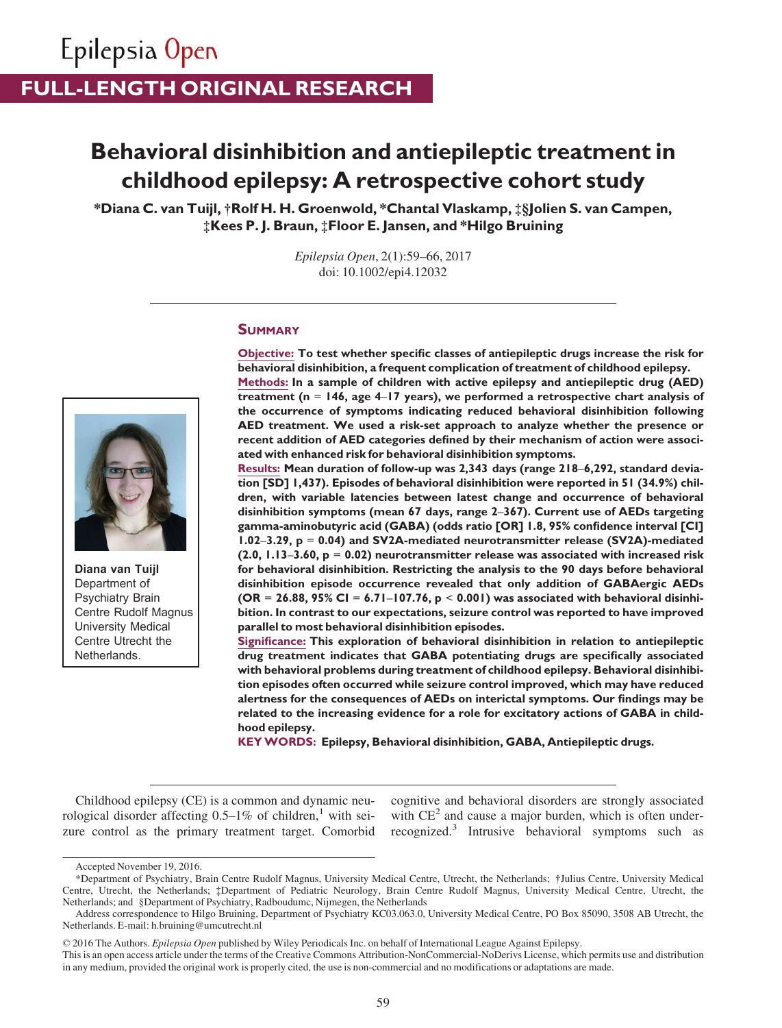# Behavioral disinhibition and antiepileptic treatment in childhood epilepsy: A retrospective cohort study

\*Diana C. van Tuijl, †Rolf H. H. Groenwold, \*Chantal Vlaskamp, ‡§Jolien S. van Campen, ‡Kees P. J. Braun, ‡Floor E. Jansen, and \*Hilgo Bruining

> Epilepsia Open, 2(1):59–66, 2017 doi: 10.1002/epi4.12032

### **SUMMARY**

Diana van Tuijl Department of Psychiatry Brain Centre Rudolf Magnus University Medical Centre Utrecht the Netherlands.

Objective: To test whether specific classes of antiepileptic drugs increase the risk for behavioral disinhibition, a frequent complication of treatment of childhood epilepsy. Methods: In a sample of children with active epilepsy and antiepileptic drug (AED) treatment ( $n = 146$ , age 4–17 years), we performed a retrospective chart analysis of the occurrence of symptoms indicating reduced behavioral disinhibition following AED treatment. We used a risk-set approach to analyze whether the presence or recent addition of AED categories defined by their mechanism of action were associated with enhanced risk for behavioral disinhibition symptoms.

Results: Mean duration of follow-up was 2,343 days (range 218–6,292, standard deviation [SD] 1,437). Episodes of behavioral disinhibition were reported in 51 (34.9%) children, with variable latencies between latest change and occurrence of behavioral disinhibition symptoms (mean 67 days, range 2–367). Current use of AEDs targeting gamma-aminobutyric acid (GABA) (odds ratio [OR] 1.8, 95% confidence interval [CI] 1.02–3.29, p = 0.04) and SV2A-mediated neurotransmitter release (SV2A)-mediated  $(2.0, 1.13-3.60, p = 0.02)$  neurotransmitter release was associated with increased risk for behavioral disinhibition. Restricting the analysis to the 90 days before behavioral disinhibition episode occurrence revealed that only addition of GABAergic AEDs  $(OR = 26.88, 95\% CI = 6.71 - 107.76, p < 0.001)$  was associated with behavioral disinhibition. In contrast to our expectations, seizure control was reported to have improved parallel to most behavioral disinhibition episodes.

Significance: This exploration of behavioral disinhibition in relation to antiepileptic drug treatment indicates that GABA potentiating drugs are specifically associated with behavioral problems during treatment of childhood epilepsy. Behavioral disinhibition episodes often occurred while seizure control improved, which may have reduced alertness for the consequences of AEDs on interictal symptoms. Our findings may be related to the increasing evidence for a role for excitatory actions of GABA in childhood epilepsy.

KEY WORDS: Epilepsy, Behavioral disinhibition, GABA, Antiepileptic drugs.

Childhood epilepsy (CE) is a common and dynamic neurological disorder affecting  $0.5-1\%$  of children,<sup>1</sup> with seizure control as the primary treatment target. Comorbid cognitive and behavioral disorders are strongly associated with  $CE<sup>2</sup>$  and cause a major burden, which is often underrecognized.<sup>3</sup> Intrusive behavioral symptoms such as

© 2016 The Authors. Epilepsia Open published by Wiley Periodicals Inc. on behalf of International League Against Epilepsy.

Accepted November 19, 2016.

<sup>\*</sup>Department of Psychiatry, Brain Centre Rudolf Magnus, University Medical Centre, Utrecht, the Netherlands; †Julius Centre, University Medical Centre, Utrecht, the Netherlands; ‡Department of Pediatric Neurology, Brain Centre Rudolf Magnus, University Medical Centre, Utrecht, the Netherlands; and §Department of Psychiatry, Radboudumc, Nijmegen, the Netherlands

Address correspondence to Hilgo Bruining, Department of Psychiatry KC03.063.0, University Medical Centre, PO Box 85090, 3508 AB Utrecht, the Netherlands. E-mail: h.bruining@umcutrecht.nl

This is an open access article under the terms of the [Creative Commons Attribution-NonCommercial-NoDerivs](http://creativecommons.org/licenses/by-nc-nd/4.0/) License, which permits use and distribution in any medium, provided the original work is properly cited, the use is non-commercial and no modifications or adaptations are made.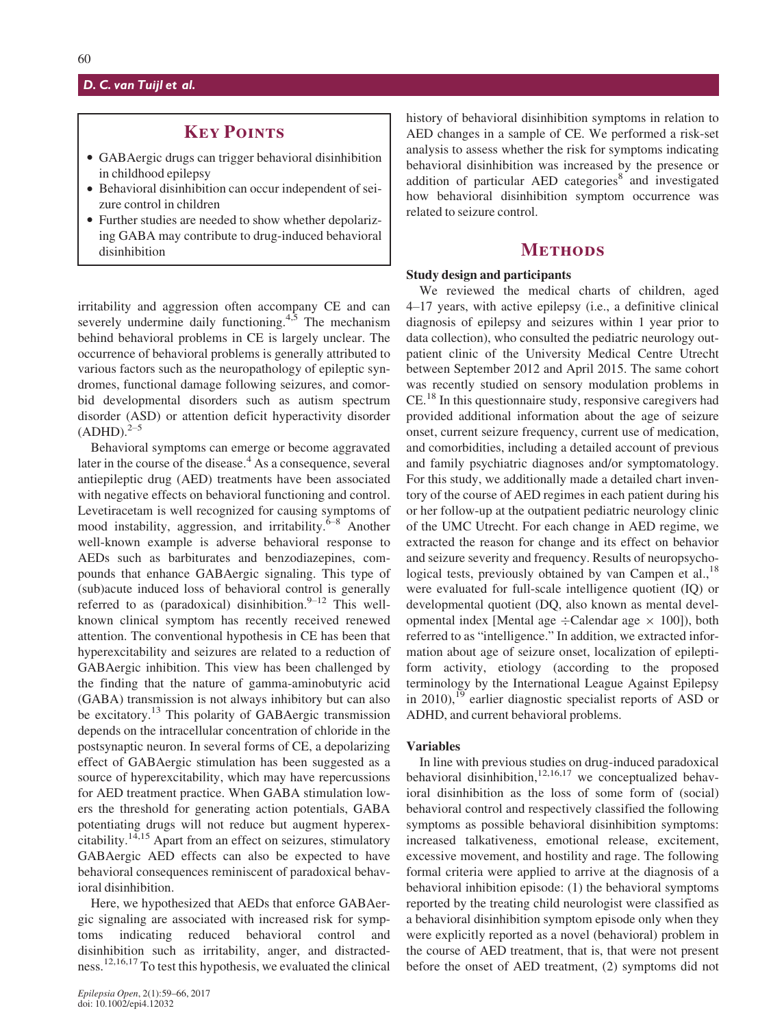# **KEY POINTS**

- GABAergic drugs can trigger behavioral disinhibition in childhood epilepsy
- Behavioral disinhibition can occur independent of seizure control in children
- Further studies are needed to show whether depolarizing GABA may contribute to drug-induced behavioral disinhibition

irritability and aggression often accompany CE and can severely undermine daily functioning.<sup>4,5</sup> The mechanism behind behavioral problems in CE is largely unclear. The occurrence of behavioral problems is generally attributed to various factors such as the neuropathology of epileptic syndromes, functional damage following seizures, and comorbid developmental disorders such as autism spectrum disorder (ASD) or attention deficit hyperactivity disorder  $(ADHD).^{2-5}$ 

Behavioral symptoms can emerge or become aggravated later in the course of the disease.<sup>4</sup> As a consequence, several antiepileptic drug (AED) treatments have been associated with negative effects on behavioral functioning and control. Levetiracetam is well recognized for causing symptoms of mood instability, aggression, and irritability. $6-8$  Another well-known example is adverse behavioral response to AEDs such as barbiturates and benzodiazepines, compounds that enhance GABAergic signaling. This type of (sub)acute induced loss of behavioral control is generally referred to as (paradoxical) disinhibition. $9-12$  This wellknown clinical symptom has recently received renewed attention. The conventional hypothesis in CE has been that hyperexcitability and seizures are related to a reduction of GABAergic inhibition. This view has been challenged by the finding that the nature of gamma-aminobutyric acid (GABA) transmission is not always inhibitory but can also be excitatory.<sup>13</sup> This polarity of GABAergic transmission depends on the intracellular concentration of chloride in the postsynaptic neuron. In several forms of CE, a depolarizing effect of GABAergic stimulation has been suggested as a source of hyperexcitability, which may have repercussions for AED treatment practice. When GABA stimulation lowers the threshold for generating action potentials, GABA potentiating drugs will not reduce but augment hyperexcitability.<sup>14,15</sup> Apart from an effect on seizures, stimulatory GABAergic AED effects can also be expected to have behavioral consequences reminiscent of paradoxical behavioral disinhibition.

Here, we hypothesized that AEDs that enforce GABAergic signaling are associated with increased risk for symptoms indicating reduced behavioral control and disinhibition such as irritability, anger, and distractedness.12,16,17 To test this hypothesis, we evaluated the clinical

history of behavioral disinhibition symptoms in relation to AED changes in a sample of CE. We performed a risk-set analysis to assess whether the risk for symptoms indicating behavioral disinhibition was increased by the presence or addition of particular AED categories<sup>8</sup> and investigated how behavioral disinhibition symptom occurrence was related to seizure control.

# **METHODS**

#### Study design and participants

We reviewed the medical charts of children, aged 4–17 years, with active epilepsy (i.e., a definitive clinical diagnosis of epilepsy and seizures within 1 year prior to data collection), who consulted the pediatric neurology outpatient clinic of the University Medical Centre Utrecht between September 2012 and April 2015. The same cohort was recently studied on sensory modulation problems in CE.<sup>18</sup> In this questionnaire study, responsive caregivers had provided additional information about the age of seizure onset, current seizure frequency, current use of medication, and comorbidities, including a detailed account of previous and family psychiatric diagnoses and/or symptomatology. For this study, we additionally made a detailed chart inventory of the course of AED regimes in each patient during his or her follow-up at the outpatient pediatric neurology clinic of the UMC Utrecht. For each change in AED regime, we extracted the reason for change and its effect on behavior and seizure severity and frequency. Results of neuropsychological tests, previously obtained by van Campen et al.,<sup>18</sup> were evaluated for full-scale intelligence quotient (IQ) or developmental quotient (DQ, also known as mental developmental index [Mental age  $\div$ Calendar age  $\times$  100]), both referred to as "intelligence." In addition, we extracted information about age of seizure onset, localization of epileptiform activity, etiology (according to the proposed terminology by the International League Against Epilepsy in 2010), $^{19}$  earlier diagnostic specialist reports of ASD or ADHD, and current behavioral problems.

#### Variables

In line with previous studies on drug-induced paradoxical behavioral disinhibition, $12,16,17$  we conceptualized behavioral disinhibition as the loss of some form of (social) behavioral control and respectively classified the following symptoms as possible behavioral disinhibition symptoms: increased talkativeness, emotional release, excitement, excessive movement, and hostility and rage. The following formal criteria were applied to arrive at the diagnosis of a behavioral inhibition episode: (1) the behavioral symptoms reported by the treating child neurologist were classified as a behavioral disinhibition symptom episode only when they were explicitly reported as a novel (behavioral) problem in the course of AED treatment, that is, that were not present before the onset of AED treatment, (2) symptoms did not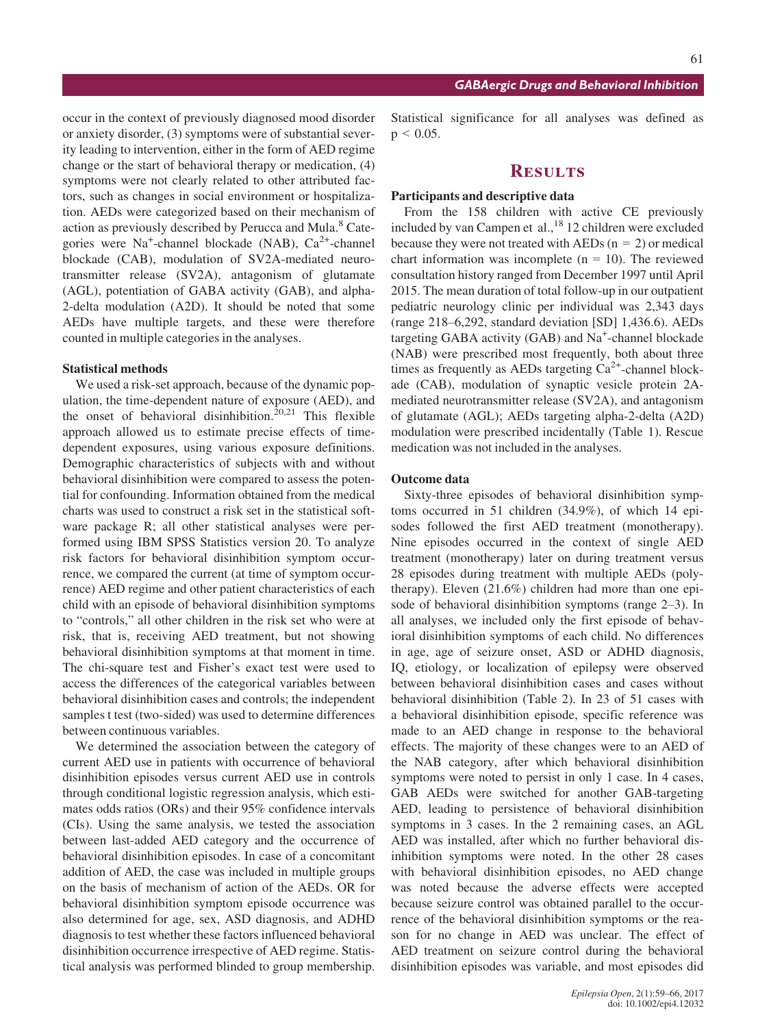occur in the context of previously diagnosed mood disorder or anxiety disorder, (3) symptoms were of substantial severity leading to intervention, either in the form of AED regime change or the start of behavioral therapy or medication, (4) symptoms were not clearly related to other attributed factors, such as changes in social environment or hospitalization. AEDs were categorized based on their mechanism of action as previously described by Perucca and Mula.<sup>8</sup> Categories were Na<sup>+</sup>-channel blockade (NAB), Ca<sup>2+</sup>-channel blockade (CAB), modulation of SV2A-mediated neurotransmitter release (SV2A), antagonism of glutamate (AGL), potentiation of GABA activity (GAB), and alpha-2-delta modulation (A2D). It should be noted that some AEDs have multiple targets, and these were therefore counted in multiple categories in the analyses.

#### Statistical methods

We used a risk-set approach, because of the dynamic population, the time-dependent nature of exposure (AED), and the onset of behavioral disinhibition.<sup>20,21</sup> This flexible approach allowed us to estimate precise effects of timedependent exposures, using various exposure definitions. Demographic characteristics of subjects with and without behavioral disinhibition were compared to assess the potential for confounding. Information obtained from the medical charts was used to construct a risk set in the statistical software package R; all other statistical analyses were performed using IBM SPSS Statistics version 20. To analyze risk factors for behavioral disinhibition symptom occurrence, we compared the current (at time of symptom occurrence) AED regime and other patient characteristics of each child with an episode of behavioral disinhibition symptoms to "controls," all other children in the risk set who were at risk, that is, receiving AED treatment, but not showing behavioral disinhibition symptoms at that moment in time. The chi-square test and Fisher's exact test were used to access the differences of the categorical variables between behavioral disinhibition cases and controls; the independent samples t test (two-sided) was used to determine differences between continuous variables.

We determined the association between the category of current AED use in patients with occurrence of behavioral disinhibition episodes versus current AED use in controls through conditional logistic regression analysis, which estimates odds ratios (ORs) and their 95% confidence intervals (CIs). Using the same analysis, we tested the association between last-added AED category and the occurrence of behavioral disinhibition episodes. In case of a concomitant addition of AED, the case was included in multiple groups on the basis of mechanism of action of the AEDs. OR for behavioral disinhibition symptom episode occurrence was also determined for age, sex, ASD diagnosis, and ADHD diagnosis to test whether these factors influenced behavioral disinhibition occurrence irrespective of AED regime. Statistical analysis was performed blinded to group membership.

Statistical significance for all analyses was defined as  $p < 0.05$ .

# **RESULTS**

#### Participants and descriptive data

From the 158 children with active CE previously included by van Campen et  $al.$ <sup>18</sup> 12 children were excluded because they were not treated with  $AEDs$  ( $n = 2$ ) or medical chart information was incomplete  $(n = 10)$ . The reviewed consultation history ranged from December 1997 until April 2015. The mean duration of total follow-up in our outpatient pediatric neurology clinic per individual was 2,343 days (range 218–6,292, standard deviation [SD] 1,436.6). AEDs targeting GABA activity (GAB) and Na<sup>+</sup>-channel blockade (NAB) were prescribed most frequently, both about three times as frequently as AEDs targeting  $Ca<sup>2+</sup>$ -channel blockade (CAB), modulation of synaptic vesicle protein 2Amediated neurotransmitter release (SV2A), and antagonism of glutamate (AGL); AEDs targeting alpha-2-delta (A2D) modulation were prescribed incidentally (Table 1). Rescue medication was not included in the analyses.

#### Outcome data

Sixty-three episodes of behavioral disinhibition symptoms occurred in 51 children (34.9%), of which 14 episodes followed the first AED treatment (monotherapy). Nine episodes occurred in the context of single AED treatment (monotherapy) later on during treatment versus 28 episodes during treatment with multiple AEDs (polytherapy). Eleven (21.6%) children had more than one episode of behavioral disinhibition symptoms (range 2–3). In all analyses, we included only the first episode of behavioral disinhibition symptoms of each child. No differences in age, age of seizure onset, ASD or ADHD diagnosis, IQ, etiology, or localization of epilepsy were observed between behavioral disinhibition cases and cases without behavioral disinhibition (Table 2). In 23 of 51 cases with a behavioral disinhibition episode, specific reference was made to an AED change in response to the behavioral effects. The majority of these changes were to an AED of the NAB category, after which behavioral disinhibition symptoms were noted to persist in only 1 case. In 4 cases, GAB AEDs were switched for another GAB-targeting AED, leading to persistence of behavioral disinhibition symptoms in 3 cases. In the 2 remaining cases, an AGL AED was installed, after which no further behavioral disinhibition symptoms were noted. In the other 28 cases with behavioral disinhibition episodes, no AED change was noted because the adverse effects were accepted because seizure control was obtained parallel to the occurrence of the behavioral disinhibition symptoms or the reason for no change in AED was unclear. The effect of AED treatment on seizure control during the behavioral disinhibition episodes was variable, and most episodes did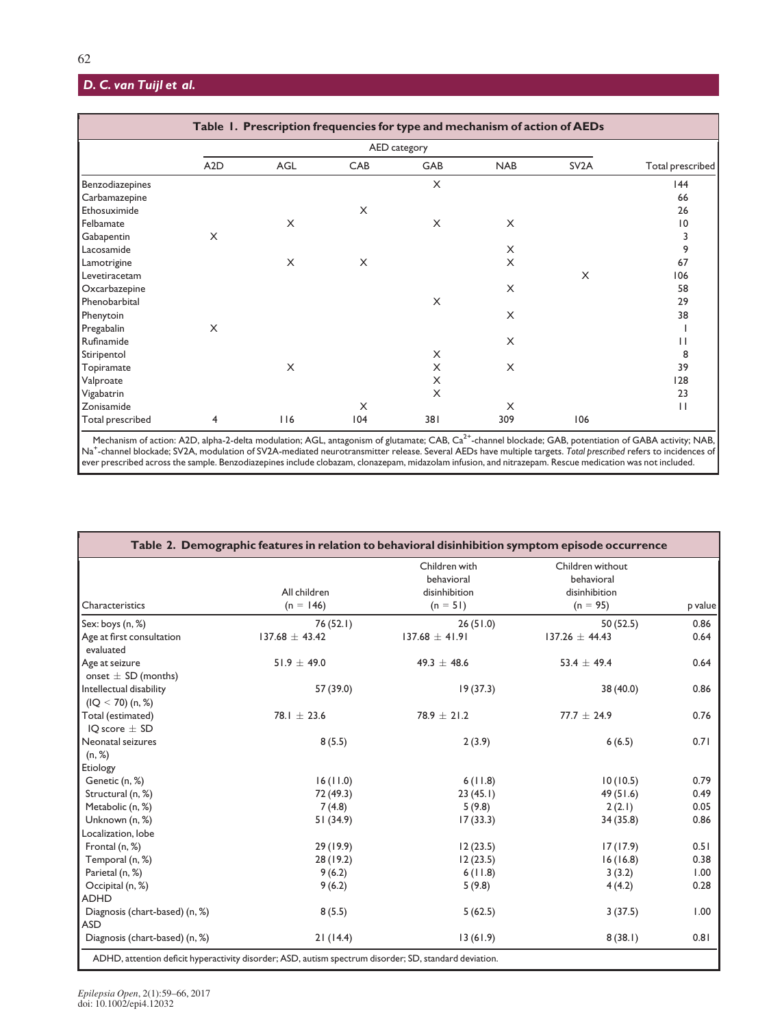| Table 1. Prescription frequencies for type and mechanism of action of AEDs |                  |          |          |          |            |                   |                  |
|----------------------------------------------------------------------------|------------------|----------|----------|----------|------------|-------------------|------------------|
|                                                                            | AED category     |          |          |          |            |                   |                  |
|                                                                            | A <sub>2</sub> D | AGL      | CAB      | GAB      | <b>NAB</b> | SV <sub>2</sub> A | Total prescribed |
| Benzodiazepines                                                            |                  |          |          | X        |            |                   | 144              |
| Carbamazepine                                                              |                  |          |          |          |            |                   | 66               |
| Ethosuximide                                                               |                  |          | X        |          |            |                   | 26               |
| Felbamate                                                                  |                  | X        |          | $\times$ | $\times$   |                   | 10               |
| Gabapentin                                                                 | X                |          |          |          |            |                   |                  |
| Lacosamide                                                                 |                  |          |          |          | X          |                   | 9                |
| Lamotrigine                                                                |                  | $\times$ | $\times$ |          | $\times$   |                   | 67               |
| Levetiracetam                                                              |                  |          |          |          |            | $\times$          | 106              |
| Oxcarbazepine                                                              |                  |          |          |          | $\times$   |                   | 58               |
| Phenobarbital                                                              |                  |          |          | X        |            |                   | 29               |
| Phenytoin                                                                  |                  |          |          |          | $\times$   |                   | 38               |
| Pregabalin                                                                 | X                |          |          |          |            |                   |                  |
| Rufinamide                                                                 |                  |          |          |          | $\times$   |                   | Н                |
| Stiripentol                                                                |                  |          |          | X        |            |                   | 8                |
| Topiramate                                                                 |                  | X        |          | $\times$ | $\times$   |                   | 39               |
| Valproate                                                                  |                  |          |          | X        |            |                   | 128              |
| Vigabatrin                                                                 |                  |          |          | $\times$ |            |                   | 23               |
| Zonisamide                                                                 |                  |          | X        |          | X          |                   | $\mathbf{H}$     |
| Total prescribed                                                           | 4                | 116      | 104      | 381      | 309        | 106               |                  |

Mechanism of action: A2D, alpha-2-delta modulation; AGL, antagonism of glutamate; CAB, Ca $^{2+}$ -channel blockade; GAB, potentiation of GABA activity; NAB, Na<sup>+</sup>-channel blockade; SV2A, modulation of SV2A-mediated neurotransmitter release. Several AEDs have multiple targets. Total prescribed refers to incidences of ever prescribed across the sample. Benzodiazepines include clobazam, clonazepam, midazolam infusion, and nitrazepam. Rescue medication was not included.

| Table 2. Demographic features in relation to behavioral disinhibition symptom episode occurrence |                                                                                                        |                                                            |                                                               |         |  |  |  |
|--------------------------------------------------------------------------------------------------|--------------------------------------------------------------------------------------------------------|------------------------------------------------------------|---------------------------------------------------------------|---------|--|--|--|
| Characteristics                                                                                  | All children<br>$(n = 146)$                                                                            | Children with<br>behavioral<br>disinhibition<br>$(n = 51)$ | Children without<br>behavioral<br>disinhibition<br>$(n = 95)$ | p value |  |  |  |
| Sex: boys (n, %)                                                                                 | 76(52.1)                                                                                               | 26(51.0)                                                   | 50 (52.5)                                                     | 0.86    |  |  |  |
| Age at first consultation<br>evaluated                                                           | $137.68 \pm 43.42$                                                                                     | $137.68 \pm 41.91$                                         | $137.26 \pm 44.43$                                            | 0.64    |  |  |  |
| Age at seizure<br>onset $\pm$ SD (months)                                                        | 51.9 $\pm$ 49.0                                                                                        | 49.3 $\pm$ 48.6                                            | 53.4 $\pm$ 49.4                                               | 0.64    |  |  |  |
| Intellectual disability<br>$(IQ < 70)$ (n, %)                                                    | 57 (39.0)                                                                                              | 19(37.3)                                                   | 38 (40.0)                                                     | 0.86    |  |  |  |
| Total (estimated)<br>IO score $\pm$ SD                                                           | 78.1 $\pm$ 23.6                                                                                        | $78.9 \pm 21.2$                                            | $77.7 \pm 24.9$                                               | 0.76    |  |  |  |
| Neonatal seizures<br>(n, %)<br>Etiology                                                          | 8(5.5)                                                                                                 | 2(3.9)                                                     | 6(6.5)                                                        | 0.71    |  |  |  |
| Genetic (n, %)                                                                                   | 16(11.0)                                                                                               | 6(11.8)                                                    | 10(10.5)                                                      | 0.79    |  |  |  |
| Structural (n, %)                                                                                | 72 (49.3)                                                                                              | 23(45.1)                                                   | 49 (51.6)                                                     | 0.49    |  |  |  |
| Metabolic (n, %)                                                                                 | 7(4.8)                                                                                                 | 5(9.8)                                                     | 2(2.1)                                                        | 0.05    |  |  |  |
| Unknown (n, %)                                                                                   | 51(34.9)                                                                                               | 17(33.3)                                                   | 34 (35.8)                                                     | 0.86    |  |  |  |
| Localization, lobe                                                                               |                                                                                                        |                                                            |                                                               |         |  |  |  |
| Frontal (n, %)                                                                                   | 29(19.9)                                                                                               | 12(23.5)                                                   | 17(17.9)                                                      | 0.51    |  |  |  |
| Temporal (n, %)                                                                                  | 28(19.2)                                                                                               | 12(23.5)                                                   | 16(16.8)                                                      | 0.38    |  |  |  |
| Parietal (n, %)                                                                                  | 9(6.2)                                                                                                 | 6(11.8)                                                    | 3(3.2)                                                        | 1.00    |  |  |  |
| Occipital (n, %)                                                                                 | 9(6.2)                                                                                                 | 5(9.8)                                                     | 4(4.2)                                                        | 0.28    |  |  |  |
| <b>ADHD</b>                                                                                      |                                                                                                        |                                                            |                                                               |         |  |  |  |
| Diagnosis (chart-based) (n, %)                                                                   | 8(5.5)                                                                                                 | 5(62.5)                                                    | 3(37.5)                                                       | 1.00    |  |  |  |
| <b>ASD</b>                                                                                       |                                                                                                        |                                                            |                                                               |         |  |  |  |
| Diagnosis (chart-based) (n, %)                                                                   | 21(14.4)                                                                                               | 13(61.9)                                                   | 8(38.1)                                                       | 0.81    |  |  |  |
|                                                                                                  | ADHD, attention deficit hyperactivity disorder; ASD, autism spectrum disorder; SD, standard deviation. |                                                            |                                                               |         |  |  |  |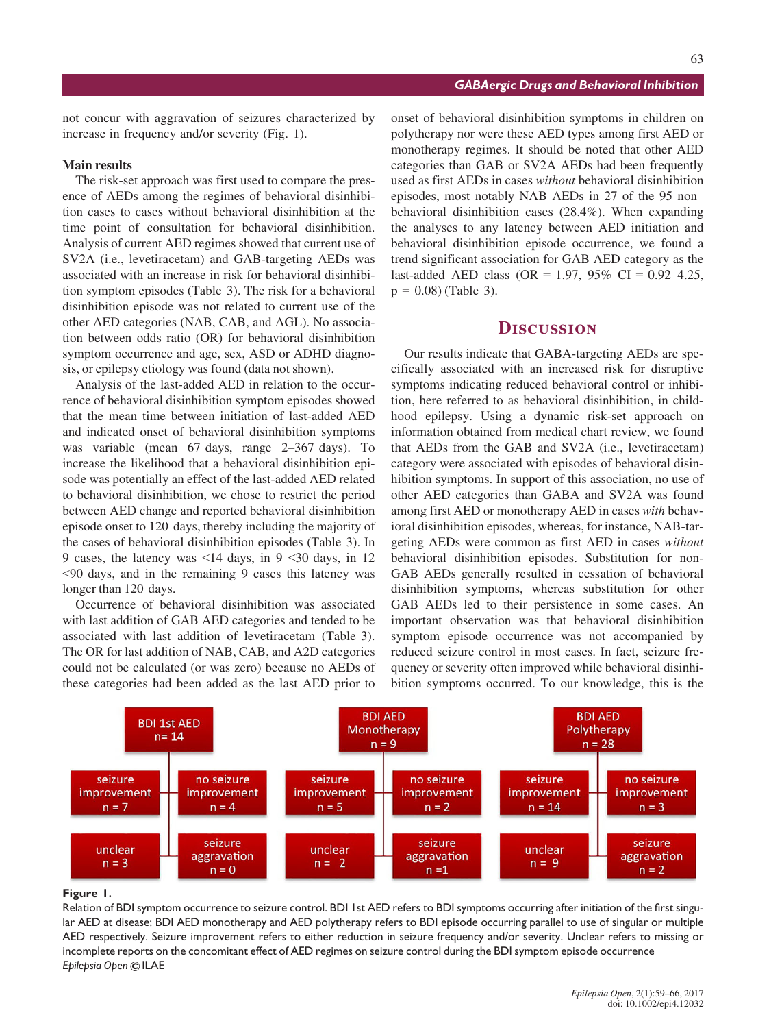#### GABAergic Drugs and Behavioral Inhibition

not concur with aggravation of seizures characterized by increase in frequency and/or severity (Fig. 1).

#### Main results

The risk-set approach was first used to compare the presence of AEDs among the regimes of behavioral disinhibition cases to cases without behavioral disinhibition at the time point of consultation for behavioral disinhibition. Analysis of current AED regimes showed that current use of SV2A (i.e., levetiracetam) and GAB-targeting AEDs was associated with an increase in risk for behavioral disinhibition symptom episodes (Table 3). The risk for a behavioral disinhibition episode was not related to current use of the other AED categories (NAB, CAB, and AGL). No association between odds ratio (OR) for behavioral disinhibition symptom occurrence and age, sex, ASD or ADHD diagnosis, or epilepsy etiology was found (data not shown).

Analysis of the last-added AED in relation to the occurrence of behavioral disinhibition symptom episodes showed that the mean time between initiation of last-added AED and indicated onset of behavioral disinhibition symptoms was variable (mean 67 days, range 2–367 days). To increase the likelihood that a behavioral disinhibition episode was potentially an effect of the last-added AED related to behavioral disinhibition, we chose to restrict the period between AED change and reported behavioral disinhibition episode onset to 120 days, thereby including the majority of the cases of behavioral disinhibition episodes (Table 3). In 9 cases, the latency was <14 days, in 9 <30 days, in 12 <90 days, and in the remaining 9 cases this latency was longer than 120 days.

Occurrence of behavioral disinhibition was associated with last addition of GAB AED categories and tended to be associated with last addition of levetiracetam (Table 3). The OR for last addition of NAB, CAB, and A2D categories could not be calculated (or was zero) because no AEDs of these categories had been added as the last AED prior to onset of behavioral disinhibition symptoms in children on polytherapy nor were these AED types among first AED or monotherapy regimes. It should be noted that other AED categories than GAB or SV2A AEDs had been frequently used as first AEDs in cases without behavioral disinhibition episodes, most notably NAB AEDs in 27 of the 95 non– behavioral disinhibition cases (28.4%). When expanding the analyses to any latency between AED initiation and behavioral disinhibition episode occurrence, we found a trend significant association for GAB AED category as the last-added AED class (OR = 1.97, 95% CI = 0.92–4.25,  $p = 0.08$ ) (Table 3).

# **DISCUSSION**

Our results indicate that GABA-targeting AEDs are specifically associated with an increased risk for disruptive symptoms indicating reduced behavioral control or inhibition, here referred to as behavioral disinhibition, in childhood epilepsy. Using a dynamic risk-set approach on information obtained from medical chart review, we found that AEDs from the GAB and SV2A (i.e., levetiracetam) category were associated with episodes of behavioral disinhibition symptoms. In support of this association, no use of other AED categories than GABA and SV2A was found among first AED or monotherapy AED in cases with behavioral disinhibition episodes, whereas, for instance, NAB-targeting AEDs were common as first AED in cases without behavioral disinhibition episodes. Substitution for non-GAB AEDs generally resulted in cessation of behavioral disinhibition symptoms, whereas substitution for other GAB AEDs led to their persistence in some cases. An important observation was that behavioral disinhibition symptom episode occurrence was not accompanied by reduced seizure control in most cases. In fact, seizure frequency or severity often improved while behavioral disinhibition symptoms occurred. To our knowledge, this is the



#### Figure 1.

Relation of BDI symptom occurrence to seizure control. BDI 1st AED refers to BDI symptoms occurring after initiation of the first singular AED at disease; BDI AED monotherapy and AED polytherapy refers to BDI episode occurring parallel to use of singular or multiple AED respectively. Seizure improvement refers to either reduction in seizure frequency and/or severity. Unclear refers to missing or incomplete reports on the concomitant effect of AED regimes on seizure control during the BDI symptom episode occurrence Epilepsia Open CILAE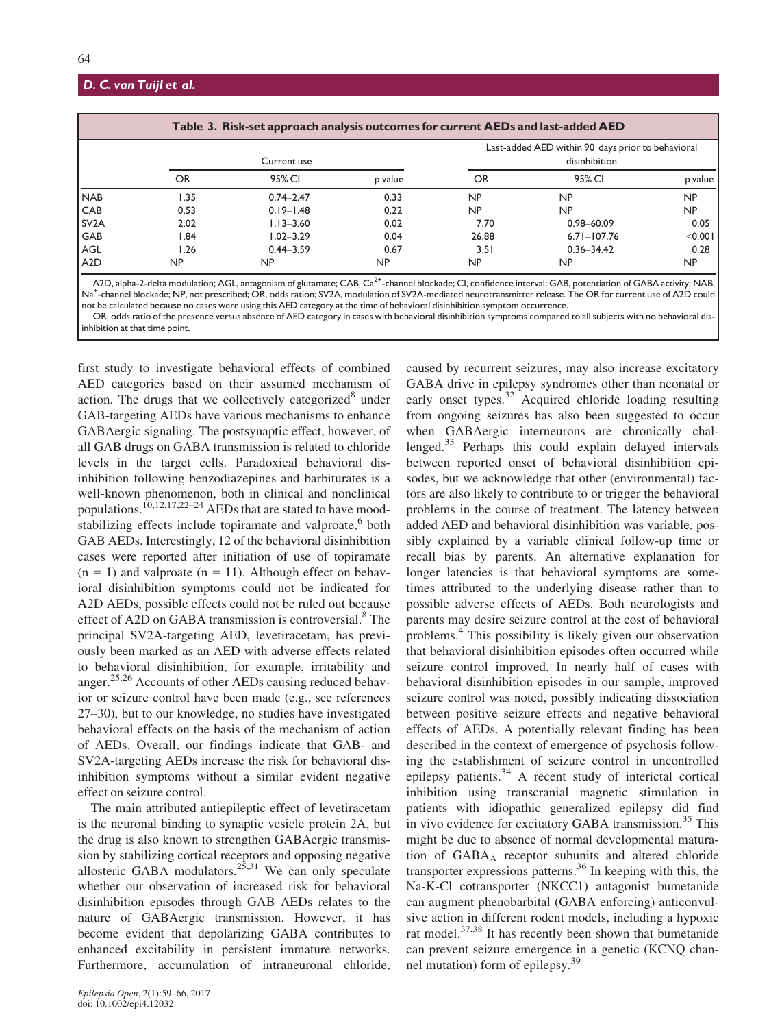|                   | Table 3. Risk-set approach analysis outcomes for current AEDs and last-added AED |               |         |                                                                    |                 |         |  |  |  |
|-------------------|----------------------------------------------------------------------------------|---------------|---------|--------------------------------------------------------------------|-----------------|---------|--|--|--|
|                   | Current use                                                                      |               |         | Last-added AED within 90 days prior to behavioral<br>disinhibition |                 |         |  |  |  |
|                   | OR                                                                               | 95% CI        | p value | OR                                                                 | 95% CI          | p value |  |  |  |
| NAB               | l.35                                                                             | $0.74 - 2.47$ | 0.33    | NP                                                                 | <b>NP</b>       | NP      |  |  |  |
| <b>CAB</b>        | 0.53                                                                             | $0.19 - 1.48$ | 0.22    | NP                                                                 | NP              | NP      |  |  |  |
| SV <sub>2</sub> A | 2.02                                                                             | $1.13 - 3.60$ | 0.02    | 7.70                                                               | $0.98 - 60.09$  | 0.05    |  |  |  |
| GAB               | l.84                                                                             | $1.02 - 3.29$ | 0.04    | 26.88                                                              | $6.71 - 107.76$ | < 0.001 |  |  |  |
| l AGL             | 1.26                                                                             | $0.44 - 3.59$ | 0.67    | 3.51                                                               | $0.36 - 34.42$  | 0.28    |  |  |  |
| I A2D             | <b>NP</b>                                                                        | NP            | NP      | NP                                                                 | NP              | NP      |  |  |  |

A2D, alpha-2-delta modulation; AGL, antagonism of glutamate; CAB, Ca<sup>2+</sup>-channel blockade; CI, confidence interval; GAB, potentiation of GABA activity; NAB, Na+ -channel blockade; NP, not prescribed; OR, odds ration; SV2A, modulation of SV2A-mediated neurotransmitter release. The OR for current use of A2D could not be calculated because no cases were using this AED category at the time of behavioral disinhibition symptom occurrence.

OR, odds ratio of the presence versus absence of AED category in cases with behavioral disinhibition symptoms compared to all subjects with no behavioral disinhibition at that time point.

first study to investigate behavioral effects of combined AED categories based on their assumed mechanism of action. The drugs that we collectively categorized<sup>8</sup> under GAB-targeting AEDs have various mechanisms to enhance GABAergic signaling. The postsynaptic effect, however, of all GAB drugs on GABA transmission is related to chloride levels in the target cells. Paradoxical behavioral disinhibition following benzodiazepines and barbiturates is a well-known phenomenon, both in clinical and nonclinical populations.<sup>10,12,17,22–24</sup> AEDs that are stated to have moodstabilizing effects include topiramate and valproate,<sup>6</sup> both GAB AEDs. Interestingly, 12 of the behavioral disinhibition cases were reported after initiation of use of topiramate  $(n = 1)$  and valproate  $(n = 11)$ . Although effect on behavioral disinhibition symptoms could not be indicated for A2D AEDs, possible effects could not be ruled out because effect of A2D on GABA transmission is controversial.<sup>8</sup> The principal SV2A-targeting AED, levetiracetam, has previously been marked as an AED with adverse effects related to behavioral disinhibition, for example, irritability and anger.<sup>25,26</sup> Accounts of other AEDs causing reduced behavior or seizure control have been made (e.g., see references 27–30), but to our knowledge, no studies have investigated behavioral effects on the basis of the mechanism of action of AEDs. Overall, our findings indicate that GAB- and SV2A-targeting AEDs increase the risk for behavioral disinhibition symptoms without a similar evident negative effect on seizure control.

The main attributed antiepileptic effect of levetiracetam is the neuronal binding to synaptic vesicle protein 2A, but the drug is also known to strengthen GABAergic transmission by stabilizing cortical receptors and opposing negative allosteric GABA modulators.<sup>25,31</sup> We can only speculate whether our observation of increased risk for behavioral disinhibition episodes through GAB AEDs relates to the nature of GABAergic transmission. However, it has become evident that depolarizing GABA contributes to enhanced excitability in persistent immature networks. Furthermore, accumulation of intraneuronal chloride, caused by recurrent seizures, may also increase excitatory GABA drive in epilepsy syndromes other than neonatal or early onset types.<sup>32</sup> Acquired chloride loading resulting from ongoing seizures has also been suggested to occur when GABAergic interneurons are chronically challenged.<sup>33</sup> Perhaps this could explain delayed intervals between reported onset of behavioral disinhibition episodes, but we acknowledge that other (environmental) factors are also likely to contribute to or trigger the behavioral problems in the course of treatment. The latency between added AED and behavioral disinhibition was variable, possibly explained by a variable clinical follow-up time or recall bias by parents. An alternative explanation for longer latencies is that behavioral symptoms are sometimes attributed to the underlying disease rather than to possible adverse effects of AEDs. Both neurologists and parents may desire seizure control at the cost of behavioral problems.<sup>4</sup> This possibility is likely given our observation that behavioral disinhibition episodes often occurred while seizure control improved. In nearly half of cases with behavioral disinhibition episodes in our sample, improved seizure control was noted, possibly indicating dissociation between positive seizure effects and negative behavioral effects of AEDs. A potentially relevant finding has been described in the context of emergence of psychosis following the establishment of seizure control in uncontrolled epilepsy patients.<sup>34</sup> A recent study of interictal cortical inhibition using transcranial magnetic stimulation in patients with idiopathic generalized epilepsy did find in vivo evidence for excitatory GABA transmission.<sup>35</sup> This might be due to absence of normal developmental maturation of GABA<sub>A</sub> receptor subunits and altered chloride transporter expressions patterns.<sup>36</sup> In keeping with this, the Na-K-Cl cotransporter (NKCC1) antagonist bumetanide can augment phenobarbital (GABA enforcing) anticonvulsive action in different rodent models, including a hypoxic rat model. $37,38$  It has recently been shown that bumetanide can prevent seizure emergence in a genetic (KCNQ channel mutation) form of epilepsy.<sup>39</sup>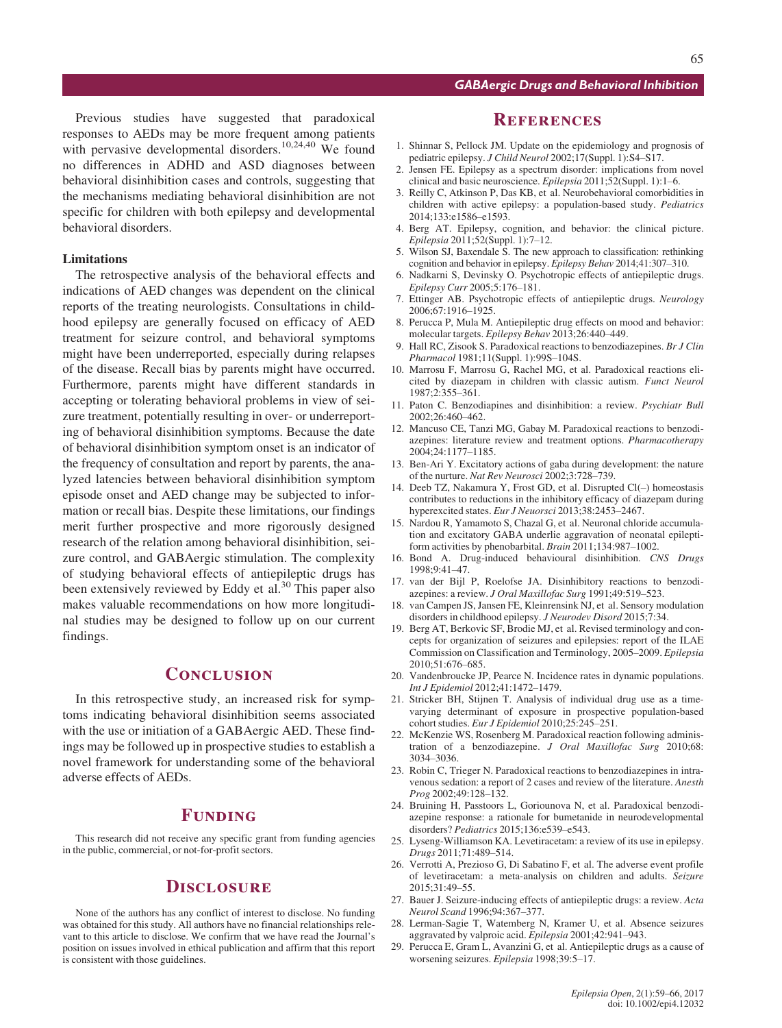#### GABAergic Drugs and Behavioral Inhibition

Previous studies have suggested that paradoxical responses to AEDs may be more frequent among patients with pervasive developmental disorders.<sup>10,24,40</sup> We found no differences in ADHD and ASD diagnoses between behavioral disinhibition cases and controls, suggesting that the mechanisms mediating behavioral disinhibition are not specific for children with both epilepsy and developmental behavioral disorders.

#### Limitations

The retrospective analysis of the behavioral effects and indications of AED changes was dependent on the clinical reports of the treating neurologists. Consultations in childhood epilepsy are generally focused on efficacy of AED treatment for seizure control, and behavioral symptoms might have been underreported, especially during relapses of the disease. Recall bias by parents might have occurred. Furthermore, parents might have different standards in accepting or tolerating behavioral problems in view of seizure treatment, potentially resulting in over- or underreporting of behavioral disinhibition symptoms. Because the date of behavioral disinhibition symptom onset is an indicator of the frequency of consultation and report by parents, the analyzed latencies between behavioral disinhibition symptom episode onset and AED change may be subjected to information or recall bias. Despite these limitations, our findings merit further prospective and more rigorously designed research of the relation among behavioral disinhibition, seizure control, and GABAergic stimulation. The complexity of studying behavioral effects of antiepileptic drugs has been extensively reviewed by Eddy et al.<sup>30</sup> This paper also makes valuable recommendations on how more longitudinal studies may be designed to follow up on our current findings.

## **CONCLUSION**

In this retrospective study, an increased risk for symptoms indicating behavioral disinhibition seems associated with the use or initiation of a GABAergic AED. These findings may be followed up in prospective studies to establish a novel framework for understanding some of the behavioral adverse effects of AEDs.

## Funding

This research did not receive any specific grant from funding agencies in the public, commercial, or not-for-profit sectors.

# **DISCLOSURE**

None of the authors has any conflict of interest to disclose. No funding was obtained for this study. All authors have no financial relationships relevant to this article to disclose. We confirm that we have read the Journal's position on issues involved in ethical publication and affirm that this report is consistent with those guidelines.

# **REFERENCES**

- 1. Shinnar S, Pellock JM. Update on the epidemiology and prognosis of pediatric epilepsy. J Child Neurol 2002;17(Suppl. 1):S4–S17.
- 2. Jensen FE. Epilepsy as a spectrum disorder: implications from novel clinical and basic neuroscience. Epilepsia 2011;52(Suppl. 1):1–6.
- 3. Reilly C, Atkinson P, Das KB, et al. Neurobehavioral comorbidities in children with active epilepsy: a population-based study. Pediatrics 2014;133:e1586–e1593.
- 4. Berg AT. Epilepsy, cognition, and behavior: the clinical picture. Epilepsia 2011;52(Suppl. 1):7–12.
- 5. Wilson SJ, Baxendale S. The new approach to classification: rethinking cognition and behavior in epilepsy. Epilepsy Behav 2014;41:307–310.
- 6. Nadkarni S, Devinsky O. Psychotropic effects of antiepileptic drugs. Epilepsy Curr 2005;5:176–181.
- 7. Ettinger AB. Psychotropic effects of antiepileptic drugs. Neurology 2006;67:1916–1925.
- 8. Perucca P, Mula M. Antiepileptic drug effects on mood and behavior: molecular targets. Epilepsy Behav 2013;26:440–449.
- 9. Hall RC, Zisook S. Paradoxical reactions to benzodiazepines. Br J Clin Pharmacol 1981;11(Suppl. 1):99S–104S.
- 10. Marrosu F, Marrosu G, Rachel MG, et al. Paradoxical reactions elicited by diazepam in children with classic autism. Funct Neurol 1987;2:355–361.
- 11. Paton C. Benzodiapines and disinhibition: a review. Psychiatr Bull 2002;26:460–462.
- 12. Mancuso CE, Tanzi MG, Gabay M. Paradoxical reactions to benzodiazepines: literature review and treatment options. Pharmacotherapy 2004;24:1177–1185.
- 13. Ben-Ari Y. Excitatory actions of gaba during development: the nature of the nurture. Nat Rev Neurosci 2002;3:728–739.
- 14. Deeb TZ, Nakamura Y, Frost GD, et al. Disrupted Cl(–) homeostasis contributes to reductions in the inhibitory efficacy of diazepam during hyperexcited states. Eur J Neuorsci 2013;38:2453–2467.
- 15. Nardou R, Yamamoto S, Chazal G, et al. Neuronal chloride accumulation and excitatory GABA underlie aggravation of neonatal epileptiform activities by phenobarbital. Brain 2011;134:987–1002.
- 16. Bond A. Drug-induced behavioural disinhibition. CNS Drugs 1998;9:41–47.
- 17. van der Bijl P, Roelofse JA. Disinhibitory reactions to benzodiazepines: a review. J Oral Maxillofac Surg 1991;49:519–523.
- 18. van Campen JS, Jansen FE, Kleinrensink NJ, et al. Sensory modulation disorders in childhood epilepsy. J Neurodev Disord 2015;7:34.
- 19. Berg AT, Berkovic SF, Brodie MJ, et al. Revised terminology and concepts for organization of seizures and epilepsies: report of the ILAE Commission on Classification and Terminology, 2005–2009. Epilepsia 2010;51:676–685.
- 20. Vandenbroucke JP, Pearce N. Incidence rates in dynamic populations. Int J Epidemiol 2012;41:1472–1479.
- 21. Stricker BH, Stijnen T. Analysis of individual drug use as a timevarying determinant of exposure in prospective population-based cohort studies. Eur J Epidemiol 2010;25:245–251.
- 22. McKenzie WS, Rosenberg M. Paradoxical reaction following administration of a benzodiazepine. J Oral Maxillofac Surg 2010;68: 3034–3036.
- 23. Robin C, Trieger N. Paradoxical reactions to benzodiazepines in intravenous sedation: a report of 2 cases and review of the literature. Anesth Prog 2002;49:128–132.
- 24. Bruining H, Passtoors L, Goriounova N, et al. Paradoxical benzodiazepine response: a rationale for bumetanide in neurodevelopmental disorders? Pediatrics 2015;136:e539–e543.
- 25. Lyseng-Williamson KA. Levetiracetam: a review of its use in epilepsy. Drugs 2011;71:489–514.
- 26. Verrotti A, Prezioso G, Di Sabatino F, et al. The adverse event profile of levetiracetam: a meta-analysis on children and adults. Seizure 2015;31:49–55.
- 27. Bauer J. Seizure-inducing effects of antiepileptic drugs: a review. Acta Neurol Scand 1996;94:367–377.
- 28. Lerman-Sagie T, Watemberg N, Kramer U, et al. Absence seizures aggravated by valproic acid. Epilepsia 2001;42:941–943.
- 29. Perucca E, Gram L, Avanzini G, et al. Antiepileptic drugs as a cause of worsening seizures. Epilepsia 1998;39:5–17.